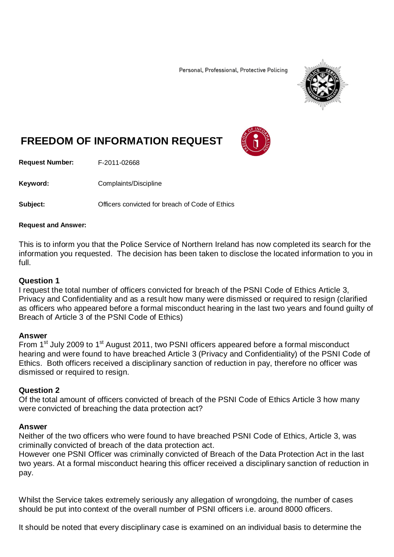Personal, Professional, Protective Policing



# **FREEDOM OF INFORMATION REQUEST**

**Request Number:** F-2011-02668

Keyword: Complaints/Discipline

**Subject: Comparish Convicted for breach of Code of Ethics** 

### **Request and Answer:**

This is to inform you that the Police Service of Northern Ireland has now completed its search for the information you requested. The decision has been taken to disclose the located information to you in full.

## **Question 1**

I request the total number of officers convicted for breach of the PSNI Code of Ethics Article 3, Privacy and Confidentiality and as a result how many were dismissed or required to resign (clarified as officers who appeared before a formal misconduct hearing in the last two years and found guilty of Breach of Article 3 of the PSNI Code of Ethics)

## **Answer**

From 1<sup>st</sup> July 2009 to 1<sup>st</sup> August 2011, two PSNI officers appeared before a formal misconduct hearing and were found to have breached Article 3 (Privacy and Confidentiality) of the PSNI Code of Ethics. Both officers received a disciplinary sanction of reduction in pay, therefore no officer was dismissed or required to resign.

## **Question 2**

Of the total amount of officers convicted of breach of the PSNI Code of Ethics Article 3 how many were convicted of breaching the data protection act?

## **Answer**

Neither of the two officers who were found to have breached PSNI Code of Ethics, Article 3, was criminally convicted of breach of the data protection act.

However one PSNI Officer was criminally convicted of Breach of the Data Protection Act in the last two years. At a formal misconduct hearing this officer received a disciplinary sanction of reduction in pay.

Whilst the Service takes extremely seriously any allegation of wrongdoing, the number of cases should be put into context of the overall number of PSNI officers i.e. around 8000 officers.

It should be noted that every disciplinary case is examined on an individual basis to determine the